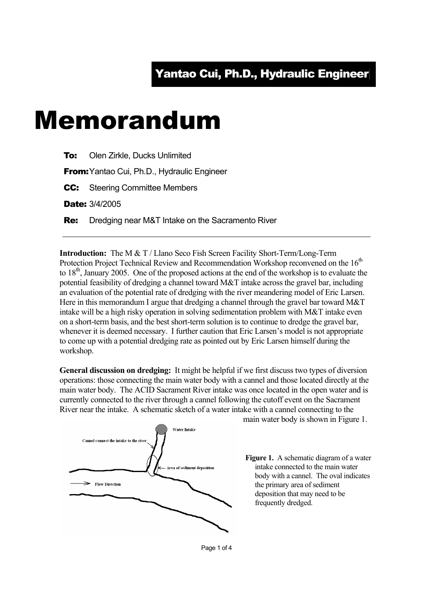## Memorandum

**To:** Olen Zirkle, Ducks Unlimited

**From:** Yantao Cui, Ph.D., Hydraulic Engineer

**CC:** Steering Committee Members

Date: 3/4/2005

**Re:** Dredging near M&T Intake on the Sacramento River

**Introduction:** The M & T / Llano Seco Fish Screen Facility Short-Term/Long-Term Protection Project Technical Review and Recommendation Workshop reconvened on the 16<sup>th</sup> to  $18<sup>th</sup>$ , January 2005. One of the proposed actions at the end of the workshop is to evaluate the potential feasibility of dredging a channel toward M&T intake across the gravel bar, including an evaluation of the potential rate of dredging with the river meandering model of Eric Larsen. Here in this memorandum I argue that dredging a channel through the gravel bar toward M&T intake will be a high risky operation in solving sedimentation problem with M&T intake even on a short-term basis, and the best short-term solution is to continue to dredge the gravel bar, whenever it is deemed necessary. I further caution that Eric Larsen's model is not appropriate to come up with a potential dredging rate as pointed out by Eric Larsen himself during the workshop.

**General discussion on dredging:** It might be helpful if we first discuss two types of diversion operations: those connecting the main water body with a cannel and those located directly at the main water body. The ACID Sacrament River intake was once located in the open water and is currently connected to the river through a cannel following the cutoff event on the Sacrament River near the intake. A schematic sketch of a water intake with a cannel connecting to the



main water body is shown in Figure 1.

**Figure 1.** A schematic diagram of a water intake connected to the main water body with a cannel. The oval indicates the primary area of sediment deposition that may need to be frequently dredged.

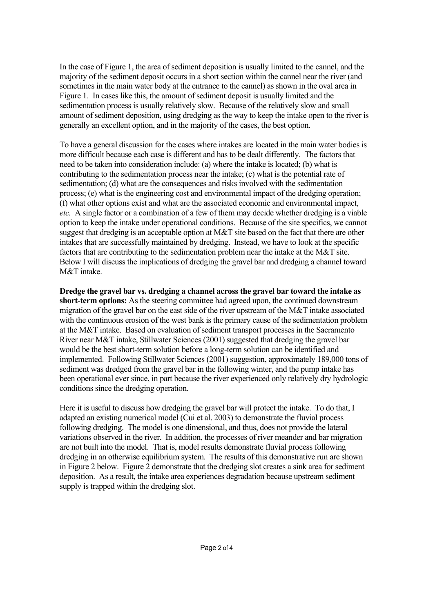In the case of Figure 1, the area of sediment deposition is usually limited to the cannel, and the majority of the sediment deposit occurs in a short section within the cannel near the river (and sometimes in the main water body at the entrance to the cannel) as shown in the oval area in Figure 1. In cases like this, the amount of sediment deposit is usually limited and the sedimentation process is usually relatively slow. Because of the relatively slow and small amount of sediment deposition, using dredging as the way to keep the intake open to the river is generally an excellent option, and in the majority of the cases, the best option.

To have a general discussion for the cases where intakes are located in the main water bodies is more difficult because each case is different and has to be dealt differently. The factors that need to be taken into consideration include: (a) where the intake is located; (b) what is contributing to the sedimentation process near the intake; (c) what is the potential rate of sedimentation; (d) what are the consequences and risks involved with the sedimentation process; (e) what is the engineering cost and environmental impact of the dredging operation; (f) what other options exist and what are the associated economic and environmental impact, *etc.* A single factor or a combination of a few of them may decide whether dredging is a viable option to keep the intake under operational conditions. Because of the site specifics, we cannot suggest that dredging is an acceptable option at M&T site based on the fact that there are other intakes that are successfully maintained by dredging. Instead, we have to look at the specific factors that are contributing to the sedimentation problem near the intake at the M&T site. Below I will discuss the implications of dredging the gravel bar and dredging a channel toward M&T intake.

**Dredge the gravel bar vs. dredging a channel across the gravel bar toward the intake as short-term options:** As the steering committee had agreed upon, the continued downstream migration of the gravel bar on the east side of the river upstream of the M&T intake associated with the continuous erosion of the west bank is the primary cause of the sedimentation problem at the M&T intake. Based on evaluation of sediment transport processes in the Sacramento River near M&T intake, Stillwater Sciences (2001) suggested that dredging the gravel bar would be the best short-term solution before a long-term solution can be identified and implemented. Following Stillwater Sciences (2001) suggestion, approximately 189,000 tons of sediment was dredged from the gravel bar in the following winter, and the pump intake has been operational ever since, in part because the river experienced only relatively dry hydrologic conditions since the dredging operation.

Here it is useful to discuss how dredging the gravel bar will protect the intake. To do that, I adapted an existing numerical model (Cui et al. 2003) to demonstrate the fluvial process following dredging. The model is one dimensional, and thus, does not provide the lateral variations observed in the river. In addition, the processes of river meander and bar migration are not built into the model. That is, model results demonstrate fluvial process following dredging in an otherwise equilibrium system. The results of this demonstrative run are shown in Figure 2 below. Figure 2 demonstrate that the dredging slot creates a sink area for sediment deposition. As a result, the intake area experiences degradation because upstream sediment supply is trapped within the dredging slot.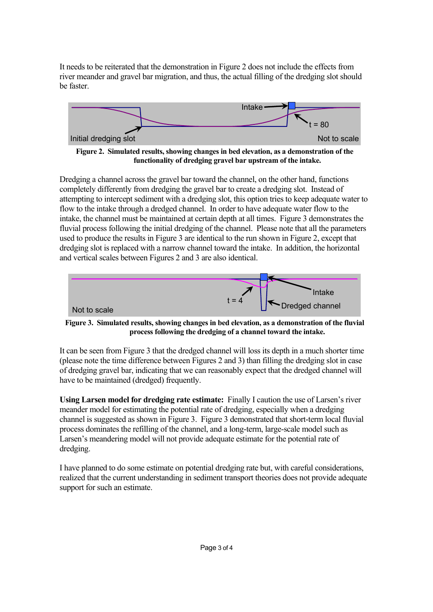It needs to be reiterated that the demonstration in Figure 2 does not include the effects from river meander and gravel bar migration, and thus, the actual filling of the dredging slot should be faster.



**Figure 2. Simulated results, showing changes in bed elevation, as a demonstration of the functionality of dredging gravel bar upstream of the intake.** 

Dredging a channel across the gravel bar toward the channel, on the other hand, functions completely differently from dredging the gravel bar to create a dredging slot. Instead of attempting to intercept sediment with a dredging slot, this option tries to keep adequate water to flow to the intake through a dredged channel. In order to have adequate water flow to the intake, the channel must be maintained at certain depth at all times. Figure 3 demonstrates the fluvial process following the initial dredging of the channel. Please note that all the parameters used to produce the results in Figure 3 are identical to the run shown in Figure 2, except that dredging slot is replaced with a narrow channel toward the intake. In addition, the horizontal and vertical scales between Figures 2 and 3 are also identical.



**Figure 3. Simulated results, showing changes in bed elevation, as a demonstration of the fluvial process following the dredging of a channel toward the intake.** 

It can be seen from Figure 3 that the dredged channel will loss its depth in a much shorter time (please note the time difference between Figures 2 and 3) than filling the dredging slot in case of dredging gravel bar, indicating that we can reasonably expect that the dredged channel will have to be maintained (dredged) frequently.

**Using Larsen model for dredging rate estimate:** Finally I caution the use of Larsen's river meander model for estimating the potential rate of dredging, especially when a dredging channel is suggested as shown in Figure 3. Figure 3 demonstrated that short-term local fluvial process dominates the refilling of the channel, and a long-term, large-scale model such as Larsen's meandering model will not provide adequate estimate for the potential rate of dredging.

I have planned to do some estimate on potential dredging rate but, with careful considerations, realized that the current understanding in sediment transport theories does not provide adequate support for such an estimate.